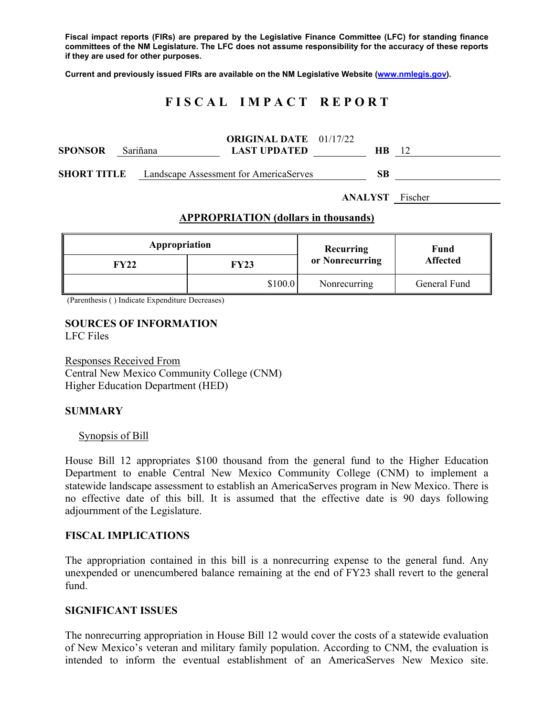**Fiscal impact reports (FIRs) are prepared by the Legislative Finance Committee (LFC) for standing finance committees of the NM Legislature. The LFC does not assume responsibility for the accuracy of these reports if they are used for other purposes.** 

**Current and previously issued FIRs are available on the NM Legislative Website (www.nmlegis.gov).** 

# **F I S C A L I M P A C T R E P O R T**

| <b>SPONSOR</b> | Sariñana | <b>ORIGINAL DATE</b> 01/17/22<br><b>LAST UPDATED</b>      | <b>HB</b> |  |
|----------------|----------|-----------------------------------------------------------|-----------|--|
|                |          | <b>SHORT TITLE</b> Landscape Assessment for AmericaServes | SВ        |  |

**ANALYST** Fischer

### **APPROPRIATION (dollars in thousands)**

| Appropriation |         | Recurring       | Fund<br><b>Affected</b> |  |
|---------------|---------|-----------------|-------------------------|--|
| FY22          | FY23    | or Nonrecurring |                         |  |
|               | \$100.0 | Nonrecurring    | General Fund            |  |

(Parenthesis ( ) Indicate Expenditure Decreases)

#### **SOURCES OF INFORMATION**  LFC Files

Responses Received From Central New Mexico Community College (CNM) Higher Education Department (HED)

### **SUMMARY**

#### Synopsis of Bill

House Bill 12 appropriates \$100 thousand from the general fund to the Higher Education Department to enable Central New Mexico Community College (CNM) to implement a statewide landscape assessment to establish an AmericaServes program in New Mexico. There is no effective date of this bill. It is assumed that the effective date is 90 days following adjournment of the Legislature.

#### **FISCAL IMPLICATIONS**

The appropriation contained in this bill is a nonrecurring expense to the general fund. Any unexpended or unencumbered balance remaining at the end of FY23 shall revert to the general fund.

#### **SIGNIFICANT ISSUES**

The nonrecurring appropriation in House Bill 12 would cover the costs of a statewide evaluation of New Mexico's veteran and military family population. According to CNM, the evaluation is intended to inform the eventual establishment of an AmericaServes New Mexico site.